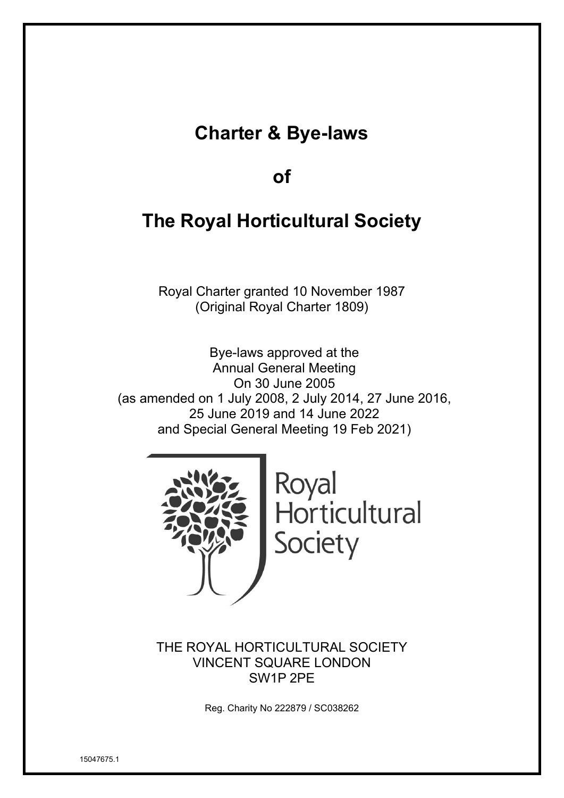## **Charter & Bye-laws**

## **of**

## **The Royal Horticultural Society**

Royal Charter granted 10 November 1987 (Original Royal Charter 1809)

Bye-laws approved at the Annual General Meeting On 30 June 2005 (as amended on 1 July 2008, 2 July 2014, 27 June 2016, 25 June 2019 and 14 June 2022 and Special General Meeting 19 Feb 2021)



Royal Horticultural Society

THE ROYAL HORTICULTURAL SOCIETY VINCENT SQUARE LONDON SW1P 2PE

Reg. Charity No 222879 / SC038262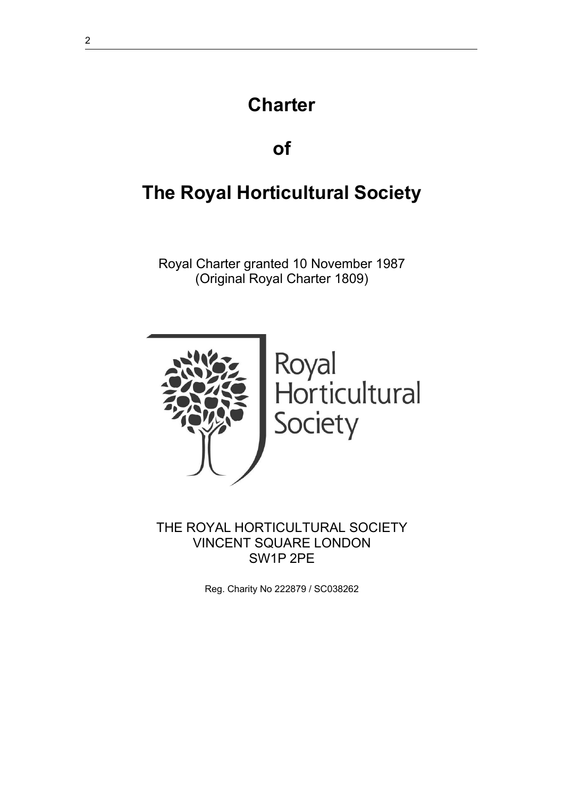# **Charter**

## **of**

# **The Royal Horticultural Society**

Royal Charter granted 10 November 1987 (Original Royal Charter 1809)



THE ROYAL HORTICULTURAL SOCIETY VINCENT SQUARE LONDON SW1P 2PE

Reg. Charity No 222879 / SC038262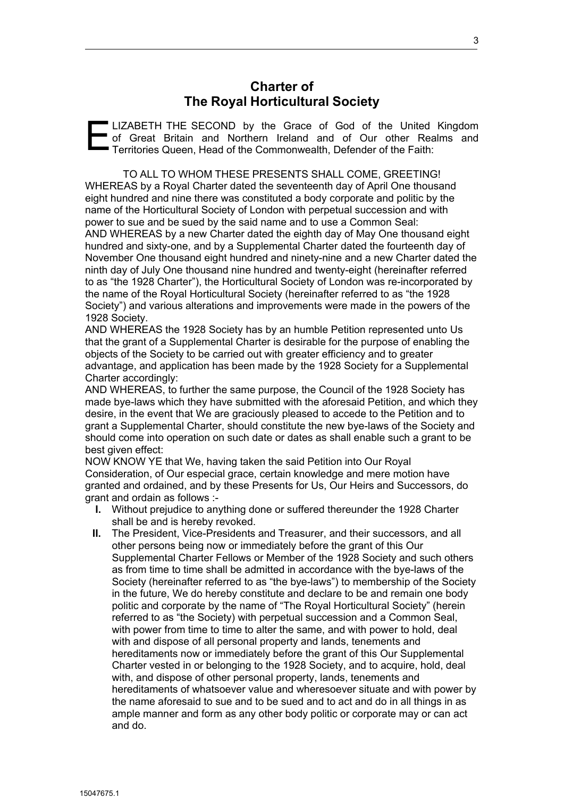## **Charter of The Royal Horticultural Society**

E **LIZABETH THE SECOND by the Grace of God of the United Kingdom** of Great Britain and Northern Ireland and of Our other Realms and Territories Queen, Head of the Commonwealth, Defender of the Faith:

TO ALL TO WHOM THESE PRESENTS SHALL COME, GREETING! WHEREAS by a Royal Charter dated the seventeenth day of April One thousand eight hundred and nine there was constituted a body corporate and politic by the name of the Horticultural Society of London with perpetual succession and with power to sue and be sued by the said name and to use a Common Seal: AND WHEREAS by a new Charter dated the eighth day of May One thousand eight hundred and sixty-one, and by a Supplemental Charter dated the fourteenth day of November One thousand eight hundred and ninety-nine and a new Charter dated the ninth day of July One thousand nine hundred and twenty-eight (hereinafter referred to as "the 1928 Charter"), the Horticultural Society of London was re-incorporated by the name of the Royal Horticultural Society (hereinafter referred to as "the 1928 Society") and various alterations and improvements were made in the powers of the 1928 Society.

AND WHEREAS the 1928 Society has by an humble Petition represented unto Us that the grant of a Supplemental Charter is desirable for the purpose of enabling the objects of the Society to be carried out with greater efficiency and to greater advantage, and application has been made by the 1928 Society for a Supplemental Charter accordingly:

AND WHEREAS, to further the same purpose, the Council of the 1928 Society has made bye-laws which they have submitted with the aforesaid Petition, and which they desire, in the event that We are graciously pleased to accede to the Petition and to grant a Supplemental Charter, should constitute the new bye-laws of the Society and should come into operation on such date or dates as shall enable such a grant to be best given effect:

NOW KNOW YE that We, having taken the said Petition into Our Royal Consideration, of Our especial grace, certain knowledge and mere motion have granted and ordained, and by these Presents for Us, Our Heirs and Successors, do grant and ordain as follows :-

- **I.** Without prejudice to anything done or suffered thereunder the 1928 Charter shall be and is hereby revoked.
- **II.** The President, Vice-Presidents and Treasurer, and their successors, and all other persons being now or immediately before the grant of this Our Supplemental Charter Fellows or Member of the 1928 Society and such others as from time to time shall be admitted in accordance with the bye-laws of the Society (hereinafter referred to as "the bye-laws") to membership of the Society in the future, We do hereby constitute and declare to be and remain one body politic and corporate by the name of "The Royal Horticultural Society" (herein referred to as "the Society) with perpetual succession and a Common Seal, with power from time to time to alter the same, and with power to hold, deal with and dispose of all personal property and lands, tenements and hereditaments now or immediately before the grant of this Our Supplemental Charter vested in or belonging to the 1928 Society, and to acquire, hold, deal with, and dispose of other personal property, lands, tenements and hereditaments of whatsoever value and wheresoever situate and with power by the name aforesaid to sue and to be sued and to act and do in all things in as ample manner and form as any other body politic or corporate may or can act and do.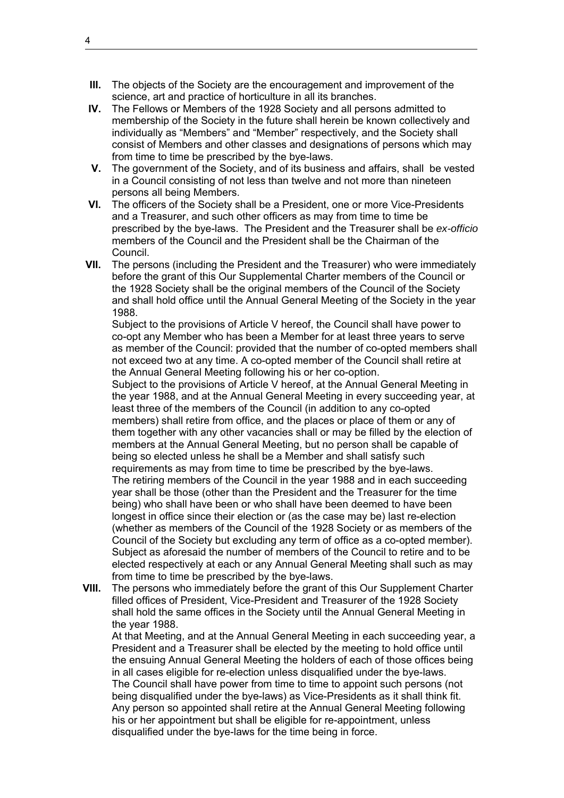- **III.** The objects of the Society are the encouragement and improvement of the science, art and practice of horticulture in all its branches.
- **IV.** The Fellows or Members of the 1928 Society and all persons admitted to membership of the Society in the future shall herein be known collectively and individually as "Members" and "Member" respectively, and the Society shall consist of Members and other classes and designations of persons which may from time to time be prescribed by the bye-laws.
- **V.** The government of the Society, and of its business and affairs, shall be vested in a Council consisting of not less than twelve and not more than nineteen persons all being Members.
- **VI.** The officers of the Society shall be a President, one or more Vice-Presidents and a Treasurer, and such other officers as may from time to time be prescribed by the bye-laws. The President and the Treasurer shall be *ex-officio*  members of the Council and the President shall be the Chairman of the Council.
- **VII.** The persons (including the President and the Treasurer) who were immediately before the grant of this Our Supplemental Charter members of the Council or the 1928 Society shall be the original members of the Council of the Society and shall hold office until the Annual General Meeting of the Society in the year 1988.

Subject to the provisions of Article V hereof, the Council shall have power to co-opt any Member who has been a Member for at least three years to serve as member of the Council: provided that the number of co-opted members shall not exceed two at any time. A co-opted member of the Council shall retire at the Annual General Meeting following his or her co-option.

Subject to the provisions of Article V hereof, at the Annual General Meeting in the year 1988, and at the Annual General Meeting in every succeeding year, at least three of the members of the Council (in addition to any co-opted members) shall retire from office, and the places or place of them or any of them together with any other vacancies shall or may be filled by the election of members at the Annual General Meeting, but no person shall be capable of being so elected unless he shall be a Member and shall satisfy such requirements as may from time to time be prescribed by the bye-laws. The retiring members of the Council in the year 1988 and in each succeeding year shall be those (other than the President and the Treasurer for the time being) who shall have been or who shall have been deemed to have been longest in office since their election or (as the case may be) last re-election (whether as members of the Council of the 1928 Society or as members of the Council of the Society but excluding any term of office as a co-opted member). Subject as aforesaid the number of members of the Council to retire and to be elected respectively at each or any Annual General Meeting shall such as may from time to time be prescribed by the bye-laws.

**VIII.** The persons who immediately before the grant of this Our Supplement Charter filled offices of President, Vice-President and Treasurer of the 1928 Society shall hold the same offices in the Society until the Annual General Meeting in the year 1988.

At that Meeting, and at the Annual General Meeting in each succeeding year, a President and a Treasurer shall be elected by the meeting to hold office until the ensuing Annual General Meeting the holders of each of those offices being in all cases eligible for re-election unless disqualified under the bye-laws. The Council shall have power from time to time to appoint such persons (not being disqualified under the bye-laws) as Vice-Presidents as it shall think fit. Any person so appointed shall retire at the Annual General Meeting following his or her appointment but shall be eligible for re-appointment, unless disqualified under the bye-laws for the time being in force.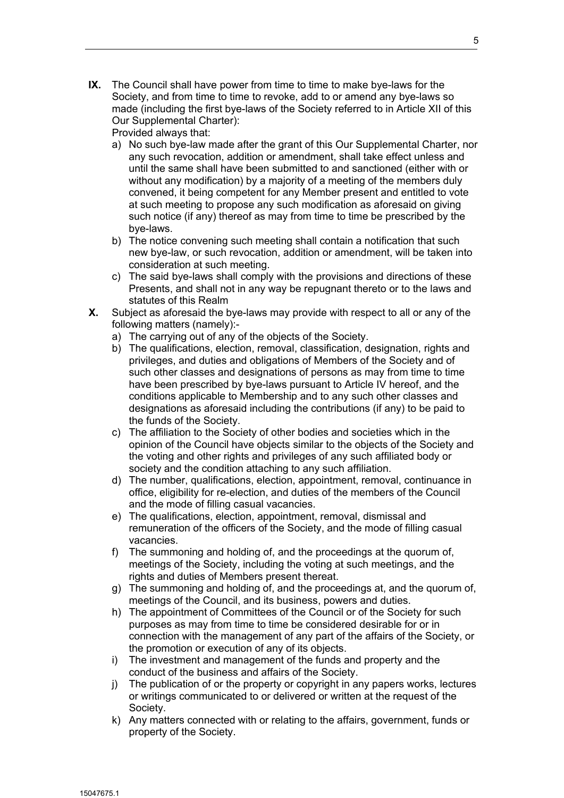**IX.** The Council shall have power from time to time to make bye-laws for the Society, and from time to time to revoke, add to or amend any bye-laws so made (including the first bye-laws of the Society referred to in Article XII of this Our Supplemental Charter):

Provided always that:

- a) No such bye-law made after the grant of this Our Supplemental Charter, nor any such revocation, addition or amendment, shall take effect unless and until the same shall have been submitted to and sanctioned (either with or without any modification) by a majority of a meeting of the members duly convened, it being competent for any Member present and entitled to vote at such meeting to propose any such modification as aforesaid on giving such notice (if any) thereof as may from time to time be prescribed by the bye-laws.
- b) The notice convening such meeting shall contain a notification that such new bye-law, or such revocation, addition or amendment, will be taken into consideration at such meeting.
- c) The said bye-laws shall comply with the provisions and directions of these Presents, and shall not in any way be repugnant thereto or to the laws and statutes of this Realm
- **X.** Subject as aforesaid the bye-laws may provide with respect to all or any of the following matters (namely):
	- a) The carrying out of any of the objects of the Society.
	- b) The qualifications, election, removal, classification, designation, rights and privileges, and duties and obligations of Members of the Society and of such other classes and designations of persons as may from time to time have been prescribed by bye-laws pursuant to Article IV hereof, and the conditions applicable to Membership and to any such other classes and designations as aforesaid including the contributions (if any) to be paid to the funds of the Society.
	- c) The affiliation to the Society of other bodies and societies which in the opinion of the Council have objects similar to the objects of the Society and the voting and other rights and privileges of any such affiliated body or society and the condition attaching to any such affiliation.
	- d) The number, qualifications, election, appointment, removal, continuance in office, eligibility for re-election, and duties of the members of the Council and the mode of filling casual vacancies.
	- e) The qualifications, election, appointment, removal, dismissal and remuneration of the officers of the Society, and the mode of filling casual vacancies.
	- f) The summoning and holding of, and the proceedings at the quorum of, meetings of the Society, including the voting at such meetings, and the rights and duties of Members present thereat.
	- g) The summoning and holding of, and the proceedings at, and the quorum of, meetings of the Council, and its business, powers and duties.
	- h) The appointment of Committees of the Council or of the Society for such purposes as may from time to time be considered desirable for or in connection with the management of any part of the affairs of the Society, or the promotion or execution of any of its objects.
	- i) The investment and management of the funds and property and the conduct of the business and affairs of the Society.
	- j) The publication of or the property or copyright in any papers works, lectures or writings communicated to or delivered or written at the request of the Society.
	- k) Any matters connected with or relating to the affairs, government, funds or property of the Society.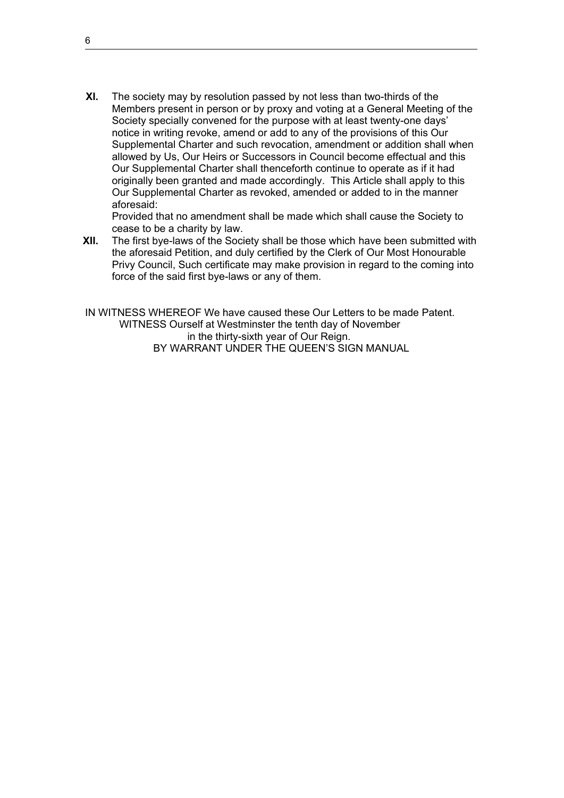**XI.** The society may by resolution passed by not less than two-thirds of the Members present in person or by proxy and voting at a General Meeting of the Society specially convened for the purpose with at least twenty-one days' notice in writing revoke, amend or add to any of the provisions of this Our Supplemental Charter and such revocation, amendment or addition shall when allowed by Us, Our Heirs or Successors in Council become effectual and this Our Supplemental Charter shall thenceforth continue to operate as if it had originally been granted and made accordingly. This Article shall apply to this Our Supplemental Charter as revoked, amended or added to in the manner aforesaid:

Provided that no amendment shall be made which shall cause the Society to cease to be a charity by law.

**XII.** The first bye-laws of the Society shall be those which have been submitted with the aforesaid Petition, and duly certified by the Clerk of Our Most Honourable Privy Council, Such certificate may make provision in regard to the coming into force of the said first bye-laws or any of them.

IN WITNESS WHEREOF We have caused these Our Letters to be made Patent. WITNESS Ourself at Westminster the tenth day of November in the thirty-sixth year of Our Reign. BY WARRANT UNDER THE QUEEN'S SIGN MANUAL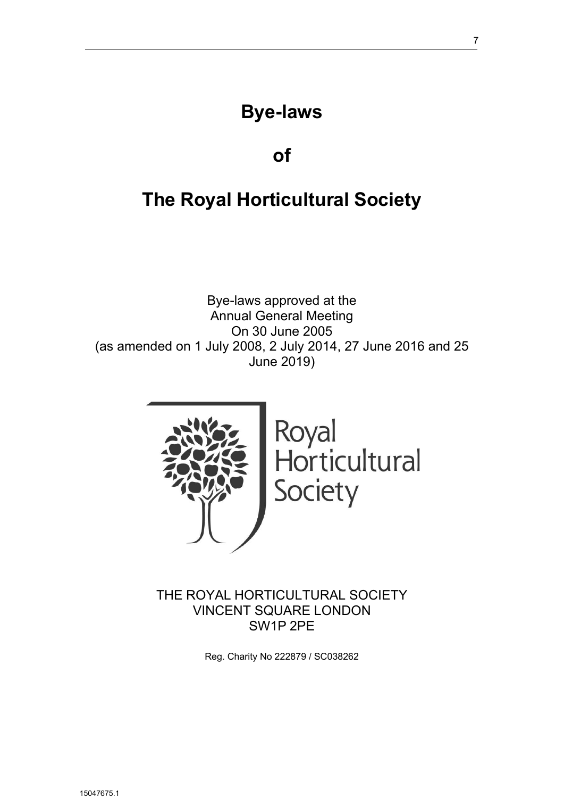## **Bye-laws**

## **of**

# **The Royal Horticultural Society**

Bye-laws approved at the Annual General Meeting On 30 June 2005 (as amended on 1 July 2008, 2 July 2014, 27 June 2016 and 25 June 2019)



THE ROYAL HORTICULTURAL SOCIETY VINCENT SQUARE LONDON SW1P 2PE

Reg. Charity No 222879 / SC038262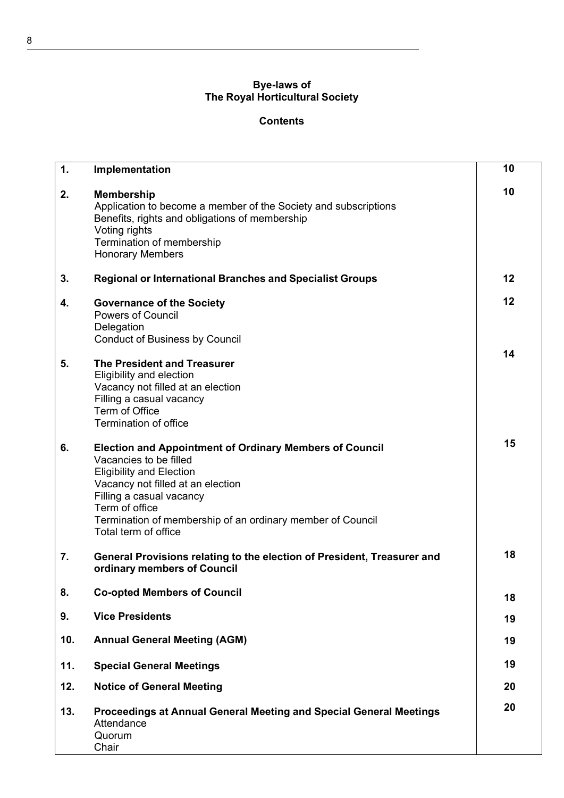## **Bye-laws of The Royal Horticultural Society**

## **Contents**

| 1.  | Implementation                                                                                                                                                                                                                                                                                       | 10 |
|-----|------------------------------------------------------------------------------------------------------------------------------------------------------------------------------------------------------------------------------------------------------------------------------------------------------|----|
| 2.  | <b>Membership</b><br>Application to become a member of the Society and subscriptions<br>Benefits, rights and obligations of membership<br>Voting rights<br>Termination of membership<br><b>Honorary Members</b>                                                                                      | 10 |
| 3.  | <b>Regional or International Branches and Specialist Groups</b>                                                                                                                                                                                                                                      | 12 |
| 4.  | <b>Governance of the Society</b><br><b>Powers of Council</b><br>Delegation<br><b>Conduct of Business by Council</b>                                                                                                                                                                                  | 12 |
| 5.  | <b>The President and Treasurer</b><br>Eligibility and election<br>Vacancy not filled at an election<br>Filling a casual vacancy<br>Term of Office<br>Termination of office                                                                                                                           | 14 |
| 6.  | <b>Election and Appointment of Ordinary Members of Council</b><br>Vacancies to be filled<br><b>Eligibility and Election</b><br>Vacancy not filled at an election<br>Filling a casual vacancy<br>Term of office<br>Termination of membership of an ordinary member of Council<br>Total term of office | 15 |
| 7.  | General Provisions relating to the election of President, Treasurer and<br>ordinary members of Council                                                                                                                                                                                               | 18 |
| 8.  | <b>Co-opted Members of Council</b>                                                                                                                                                                                                                                                                   | 18 |
| 9.  | <b>Vice Presidents</b>                                                                                                                                                                                                                                                                               | 19 |
| 10. | <b>Annual General Meeting (AGM)</b>                                                                                                                                                                                                                                                                  | 19 |
| 11. | <b>Special General Meetings</b>                                                                                                                                                                                                                                                                      | 19 |
| 12. | <b>Notice of General Meeting</b>                                                                                                                                                                                                                                                                     | 20 |
| 13. | Proceedings at Annual General Meeting and Special General Meetings<br>Attendance<br>Quorum<br>Chair                                                                                                                                                                                                  | 20 |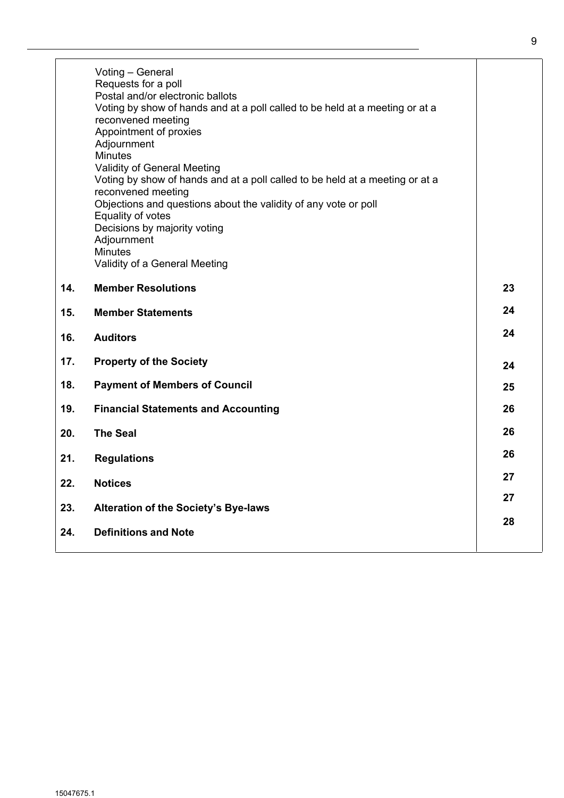|     | Voting - General<br>Requests for a poll<br>Postal and/or electronic ballots<br>Voting by show of hands and at a poll called to be held at a meeting or at a<br>reconvened meeting<br>Appointment of proxies<br>Adjournment<br><b>Minutes</b><br><b>Validity of General Meeting</b><br>Voting by show of hands and at a poll called to be held at a meeting or at a<br>reconvened meeting<br>Objections and questions about the validity of any vote or poll<br>Equality of votes<br>Decisions by majority voting<br>Adjournment<br><b>Minutes</b><br>Validity of a General Meeting |    |
|-----|------------------------------------------------------------------------------------------------------------------------------------------------------------------------------------------------------------------------------------------------------------------------------------------------------------------------------------------------------------------------------------------------------------------------------------------------------------------------------------------------------------------------------------------------------------------------------------|----|
| 14. | <b>Member Resolutions</b>                                                                                                                                                                                                                                                                                                                                                                                                                                                                                                                                                          | 23 |
| 15. | <b>Member Statements</b>                                                                                                                                                                                                                                                                                                                                                                                                                                                                                                                                                           | 24 |
| 16. | <b>Auditors</b>                                                                                                                                                                                                                                                                                                                                                                                                                                                                                                                                                                    | 24 |
| 17. | <b>Property of the Society</b>                                                                                                                                                                                                                                                                                                                                                                                                                                                                                                                                                     | 24 |
| 18. | <b>Payment of Members of Council</b>                                                                                                                                                                                                                                                                                                                                                                                                                                                                                                                                               | 25 |
| 19. | <b>Financial Statements and Accounting</b>                                                                                                                                                                                                                                                                                                                                                                                                                                                                                                                                         | 26 |
| 20. | <b>The Seal</b>                                                                                                                                                                                                                                                                                                                                                                                                                                                                                                                                                                    | 26 |
| 21. | <b>Regulations</b>                                                                                                                                                                                                                                                                                                                                                                                                                                                                                                                                                                 | 26 |

**22. Notices <sup>27</sup>**

- **23. Alteration of the Society's Bye-laws**
- **24. Definitions and Note**

**27**

**28**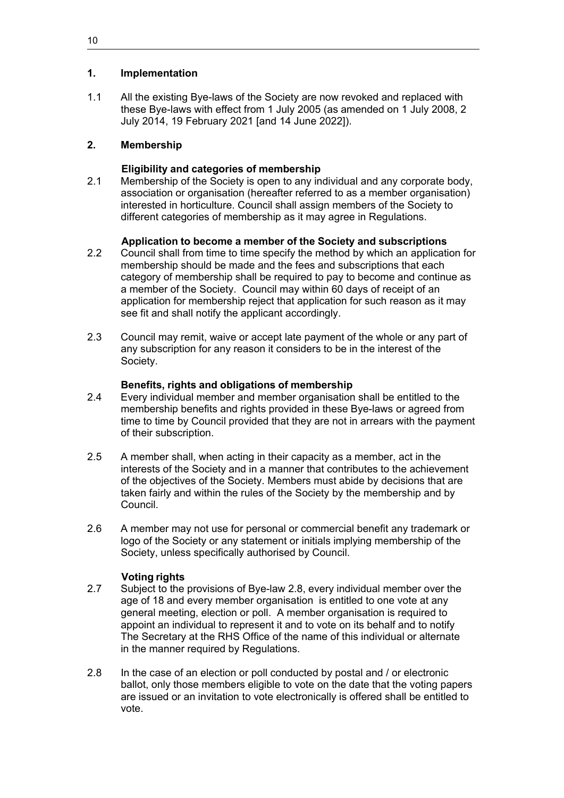## **1. Implementation**

1.1 All the existing Bye-laws of the Society are now revoked and replaced with these Bye-laws with effect from 1 July 2005 (as amended on 1 July 2008, 2 July 2014, 19 February 2021 [and 14 June 2022]).

## **2. Membership**

## **Eligibility and categories of membership**

2.1 Membership of the Society is open to any individual and any corporate body, association or organisation (hereafter referred to as a member organisation) interested in horticulture. Council shall assign members of the Society to different categories of membership as it may agree in Regulations.

## **Application to become a member of the Society and subscriptions**

- 2.2 Council shall from time to time specify the method by which an application for membership should be made and the fees and subscriptions that each category of membership shall be required to pay to become and continue as a member of the Society. Council may within 60 days of receipt of an application for membership reject that application for such reason as it may see fit and shall notify the applicant accordingly.
- 2.3 Council may remit, waive or accept late payment of the whole or any part of any subscription for any reason it considers to be in the interest of the Society.

## **Benefits, rights and obligations of membership**

- 2.4 Every individual member and member organisation shall be entitled to the membership benefits and rights provided in these Bye-laws or agreed from time to time by Council provided that they are not in arrears with the payment of their subscription.
- 2.5 A member shall, when acting in their capacity as a member, act in the interests of the Society and in a manner that contributes to the achievement of the objectives of the Society. Members must abide by decisions that are taken fairly and within the rules of the Society by the membership and by Council.
- 2.6 A member may not use for personal or commercial benefit any trademark or logo of the Society or any statement or initials implying membership of the Society, unless specifically authorised by Council.

## **Voting rights**

- 2.7 Subject to the provisions of Bye-law 2.8, every individual member over the age of 18 and every member organisation is entitled to one vote at any general meeting, election or poll. A member organisation is required to appoint an individual to represent it and to vote on its behalf and to notify The Secretary at the RHS Office of the name of this individual or alternate in the manner required by Regulations.
- 2.8 In the case of an election or poll conducted by postal and / or electronic ballot, only those members eligible to vote on the date that the voting papers are issued or an invitation to vote electronically is offered shall be entitled to vote.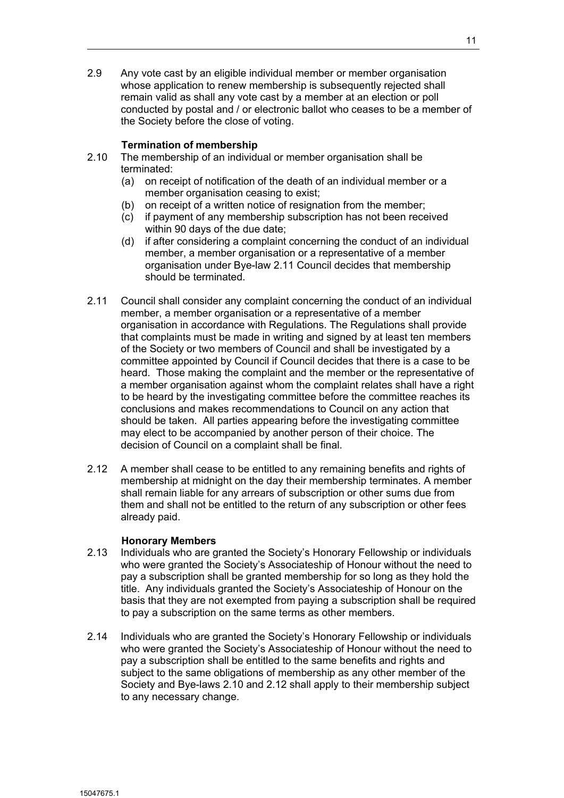2.9 Any vote cast by an eligible individual member or member organisation whose application to renew membership is subsequently rejected shall remain valid as shall any vote cast by a member at an election or poll conducted by postal and / or electronic ballot who ceases to be a member of the Society before the close of voting.

## **Termination of membership**

- 2.10 The membership of an individual or member organisation shall be terminated:
	- (a) on receipt of notification of the death of an individual member or a member organisation ceasing to exist;
	- (b) on receipt of a written notice of resignation from the member;
	- (c) if payment of any membership subscription has not been received within 90 days of the due date;
	- (d) if after considering a complaint concerning the conduct of an individual member, a member organisation or a representative of a member organisation under Bye-law 2.11 Council decides that membership should be terminated.
- 2.11 Council shall consider any complaint concerning the conduct of an individual member, a member organisation or a representative of a member organisation in accordance with Regulations. The Regulations shall provide that complaints must be made in writing and signed by at least ten members of the Society or two members of Council and shall be investigated by a committee appointed by Council if Council decides that there is a case to be heard. Those making the complaint and the member or the representative of a member organisation against whom the complaint relates shall have a right to be heard by the investigating committee before the committee reaches its conclusions and makes recommendations to Council on any action that should be taken. All parties appearing before the investigating committee may elect to be accompanied by another person of their choice. The decision of Council on a complaint shall be final.
- 2.12 A member shall cease to be entitled to any remaining benefits and rights of membership at midnight on the day their membership terminates. A member shall remain liable for any arrears of subscription or other sums due from them and shall not be entitled to the return of any subscription or other fees already paid.

#### **Honorary Members**

- 2.13 Individuals who are granted the Society's Honorary Fellowship or individuals who were granted the Society's Associateship of Honour without the need to pay a subscription shall be granted membership for so long as they hold the title. Any individuals granted the Society's Associateship of Honour on the basis that they are not exempted from paying a subscription shall be required to pay a subscription on the same terms as other members.
- 2.14 Individuals who are granted the Society's Honorary Fellowship or individuals who were granted the Society's Associateship of Honour without the need to pay a subscription shall be entitled to the same benefits and rights and subject to the same obligations of membership as any other member of the Society and Bye-laws 2.10 and 2.12 shall apply to their membership subject to any necessary change.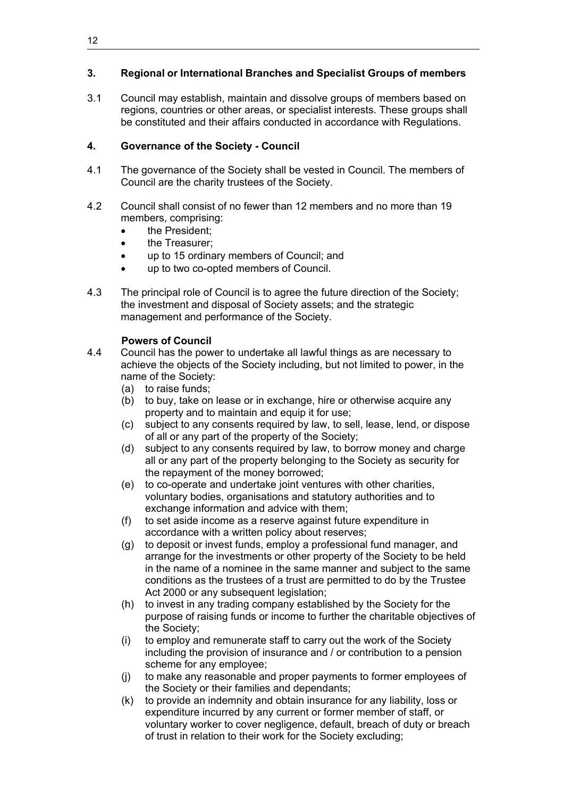## **3. Regional or International Branches and Specialist Groups of members**

3.1 Council may establish, maintain and dissolve groups of members based on regions, countries or other areas, or specialist interests. These groups shall be constituted and their affairs conducted in accordance with Regulations.

## **4. Governance of the Society - Council**

- 4.1 The governance of the Society shall be vested in Council. The members of Council are the charity trustees of the Society.
- 4.2 Council shall consist of no fewer than 12 members and no more than 19 members, comprising:
	- the President;
	- the Treasurer;
	- up to 15 ordinary members of Council; and
	- up to two co-opted members of Council.
- 4.3 The principal role of Council is to agree the future direction of the Society; the investment and disposal of Society assets; and the strategic management and performance of the Society.

## **Powers of Council**

- 4.4 Council has the power to undertake all lawful things as are necessary to achieve the objects of the Society including, but not limited to power, in the name of the Society:
	- (a) to raise funds;
	- (b) to buy, take on lease or in exchange, hire or otherwise acquire any property and to maintain and equip it for use;
	- (c) subject to any consents required by law, to sell, lease, lend, or dispose of all or any part of the property of the Society;
	- (d) subject to any consents required by law, to borrow money and charge all or any part of the property belonging to the Society as security for the repayment of the money borrowed;
	- (e) to co-operate and undertake joint ventures with other charities, voluntary bodies, organisations and statutory authorities and to exchange information and advice with them;
	- (f) to set aside income as a reserve against future expenditure in accordance with a written policy about reserves;
	- (g) to deposit or invest funds, employ a professional fund manager, and arrange for the investments or other property of the Society to be held in the name of a nominee in the same manner and subject to the same conditions as the trustees of a trust are permitted to do by the Trustee Act 2000 or any subsequent legislation;
	- (h) to invest in any trading company established by the Society for the purpose of raising funds or income to further the charitable objectives of the Society;
	- (i) to employ and remunerate staff to carry out the work of the Society including the provision of insurance and / or contribution to a pension scheme for any employee;
	- (j) to make any reasonable and proper payments to former employees of the Society or their families and dependants;
	- (k) to provide an indemnity and obtain insurance for any liability, loss or expenditure incurred by any current or former member of staff, or voluntary worker to cover negligence, default, breach of duty or breach of trust in relation to their work for the Society excluding;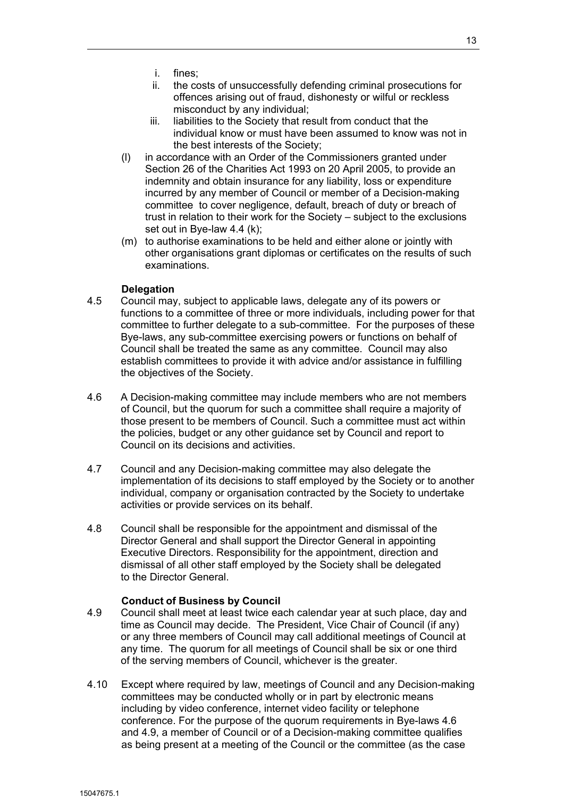- i. fines;
- ii. the costs of unsuccessfully defending criminal prosecutions for offences arising out of fraud, dishonesty or wilful or reckless misconduct by any individual;
- iii. liabilities to the Society that result from conduct that the individual know or must have been assumed to know was not in the best interests of the Society;
- (l) in accordance with an Order of the Commissioners granted under Section 26 of the Charities Act 1993 on 20 April 2005, to provide an indemnity and obtain insurance for any liability, loss or expenditure incurred by any member of Council or member of a Decision-making committee to cover negligence, default, breach of duty or breach of trust in relation to their work for the Society – subject to the exclusions set out in Bye-law 4.4 (k);
- (m) to authorise examinations to be held and either alone or jointly with other organisations grant diplomas or certificates on the results of such examinations.

## **Delegation**

- 4.5 Council may, subject to applicable laws, delegate any of its powers or functions to a committee of three or more individuals, including power for that committee to further delegate to a sub-committee. For the purposes of these Bye-laws, any sub-committee exercising powers or functions on behalf of Council shall be treated the same as any committee. Council may also establish committees to provide it with advice and/or assistance in fulfilling the objectives of the Society.
- 4.6 A Decision-making committee may include members who are not members of Council, but the quorum for such a committee shall require a majority of those present to be members of Council. Such a committee must act within the policies, budget or any other guidance set by Council and report to Council on its decisions and activities.
- 4.7 Council and any Decision-making committee may also delegate the implementation of its decisions to staff employed by the Society or to another individual, company or organisation contracted by the Society to undertake activities or provide services on its behalf.
- 4.8 Council shall be responsible for the appointment and dismissal of the Director General and shall support the Director General in appointing Executive Directors. Responsibility for the appointment, direction and dismissal of all other staff employed by the Society shall be delegated to the Director General.

#### **Conduct of Business by Council**

- 4.9 Council shall meet at least twice each calendar year at such place, day and time as Council may decide. The President, Vice Chair of Council (if any) or any three members of Council may call additional meetings of Council at any time. The quorum for all meetings of Council shall be six or one third of the serving members of Council, whichever is the greater.
- 4.10 Except where required by law, meetings of Council and any Decision-making committees may be conducted wholly or in part by electronic means including by video conference, internet video facility or telephone conference. For the purpose of the quorum requirements in Bye-laws 4.6 and 4.9, a member of Council or of a Decision-making committee qualifies as being present at a meeting of the Council or the committee (as the case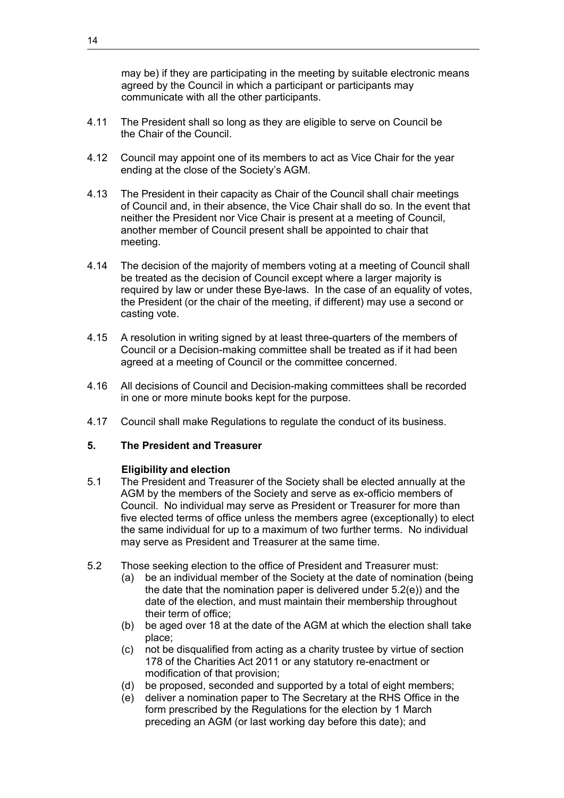may be) if they are participating in the meeting by suitable electronic means agreed by the Council in which a participant or participants may communicate with all the other participants.

- 4.11 The President shall so long as they are eligible to serve on Council be the Chair of the Council.
- 4.12 Council may appoint one of its members to act as Vice Chair for the year ending at the close of the Society's AGM.
- 4.13 The President in their capacity as Chair of the Council shall chair meetings of Council and, in their absence, the Vice Chair shall do so. In the event that neither the President nor Vice Chair is present at a meeting of Council, another member of Council present shall be appointed to chair that meeting.
- 4.14 The decision of the majority of members voting at a meeting of Council shall be treated as the decision of Council except where a larger majority is required by law or under these Bye-laws. In the case of an equality of votes, the President (or the chair of the meeting, if different) may use a second or casting vote.
- 4.15 A resolution in writing signed by at least three-quarters of the members of Council or a Decision-making committee shall be treated as if it had been agreed at a meeting of Council or the committee concerned.
- 4.16 All decisions of Council and Decision-making committees shall be recorded in one or more minute books kept for the purpose.
- 4.17 Council shall make Regulations to regulate the conduct of its business.

## **5. The President and Treasurer**

## **Eligibility and election**

- 5.1 The President and Treasurer of the Society shall be elected annually at the AGM by the members of the Society and serve as ex-officio members of Council. No individual may serve as President or Treasurer for more than five elected terms of office unless the members agree (exceptionally) to elect the same individual for up to a maximum of two further terms. No individual may serve as President and Treasurer at the same time.
- 5.2 Those seeking election to the office of President and Treasurer must:
	- (a) be an individual member of the Society at the date of nomination (being the date that the nomination paper is delivered under 5.2(e)) and the date of the election, and must maintain their membership throughout their term of office;
	- (b) be aged over 18 at the date of the AGM at which the election shall take place;
	- (c) not be disqualified from acting as a charity trustee by virtue of section 178 of the Charities Act 2011 or any statutory re-enactment or modification of that provision;
	- (d) be proposed, seconded and supported by a total of eight members;
	- (e) deliver a nomination paper to The Secretary at the RHS Office in the form prescribed by the Regulations for the election by 1 March preceding an AGM (or last working day before this date); and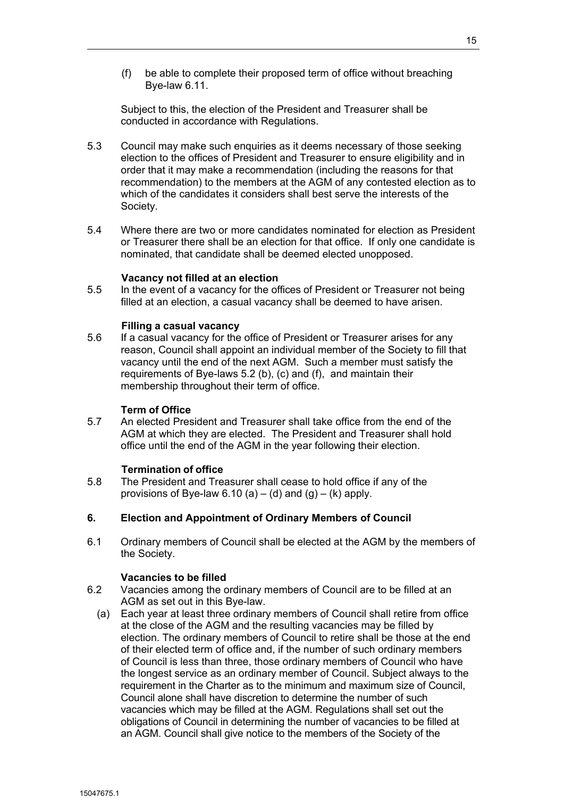(f) be able to complete their proposed term of office without breaching Bye-law 6.11.

Subject to this, the election of the President and Treasurer shall be conducted in accordance with Regulations.

- 5.3 Council may make such enquiries as it deems necessary of those seeking election to the offices of President and Treasurer to ensure eligibility and in order that it may make a recommendation (including the reasons for that recommendation) to the members at the AGM of any contested election as to which of the candidates it considers shall best serve the interests of the Society.
- 5.4 Where there are two or more candidates nominated for election as President or Treasurer there shall be an election for that office. If only one candidate is nominated, that candidate shall be deemed elected unopposed.

#### **Vacancy not filled at an election**

5.5 In the event of a vacancy for the offices of President or Treasurer not being filled at an election, a casual vacancy shall be deemed to have arisen.

#### **Filling a casual vacancy**

5.6 If a casual vacancy for the office of President or Treasurer arises for any reason, Council shall appoint an individual member of the Society to fill that vacancy until the end of the next AGM. Such a member must satisfy the requirements of Bye-laws 5.2 (b), (c) and (f), and maintain their membership throughout their term of office.

#### **Term of Office**

5.7 An elected President and Treasurer shall take office from the end of the AGM at which they are elected. The President and Treasurer shall hold office until the end of the AGM in the year following their election.

#### **Termination of office**

5.8 The President and Treasurer shall cease to hold office if any of the provisions of Bye-law 6.10 (a) – (d) and (g) – (k) apply.

#### **6. Election and Appointment of Ordinary Members of Council**

6.1 Ordinary members of Council shall be elected at the AGM by the members of the Society.

#### **Vacancies to be filled**

- 6.2 Vacancies among the ordinary members of Council are to be filled at an AGM as set out in this Bye-law.
	- (a) Each year at least three ordinary members of Council shall retire from office at the close of the AGM and the resulting vacancies may be filled by election. The ordinary members of Council to retire shall be those at the end of their elected term of office and, if the number of such ordinary members of Council is less than three, those ordinary members of Council who have the longest service as an ordinary member of Council. Subject always to the requirement in the Charter as to the minimum and maximum size of Council, Council alone shall have discretion to determine the number of such vacancies which may be filled at the AGM. Regulations shall set out the obligations of Council in determining the number of vacancies to be filled at an AGM. Council shall give notice to the members of the Society of the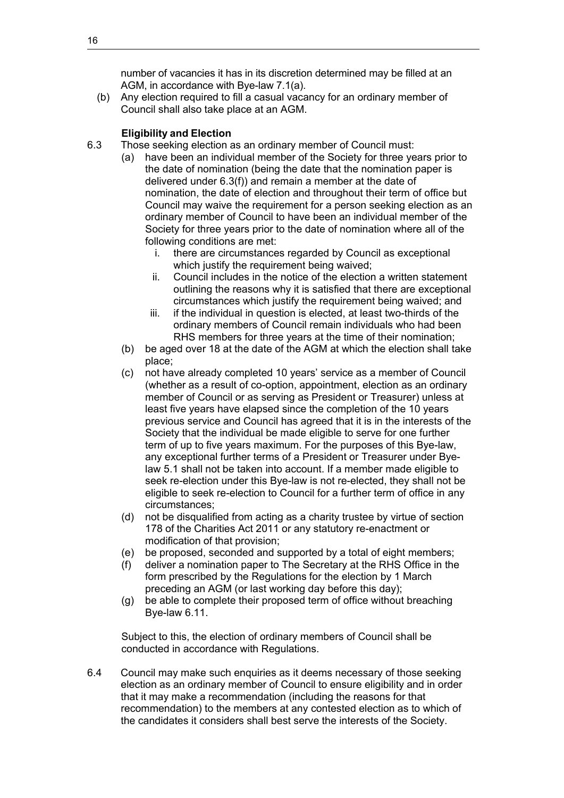number of vacancies it has in its discretion determined may be filled at an AGM, in accordance with Bye-law 7.1(a).

(b) Any election required to fill a casual vacancy for an ordinary member of Council shall also take place at an AGM.

## **Eligibility and Election**

- 6.3 Those seeking election as an ordinary member of Council must:
	- (a) have been an individual member of the Society for three years prior to the date of nomination (being the date that the nomination paper is delivered under 6.3(f)) and remain a member at the date of nomination, the date of election and throughout their term of office but Council may waive the requirement for a person seeking election as an ordinary member of Council to have been an individual member of the Society for three years prior to the date of nomination where all of the following conditions are met:
		- i. there are circumstances regarded by Council as exceptional which justify the requirement being waived;
		- ii. Council includes in the notice of the election a written statement outlining the reasons why it is satisfied that there are exceptional circumstances which justify the requirement being waived; and
		- iii. if the individual in question is elected, at least two-thirds of the ordinary members of Council remain individuals who had been RHS members for three years at the time of their nomination;
	- (b) be aged over 18 at the date of the AGM at which the election shall take place;
	- (c) not have already completed 10 years' service as a member of Council (whether as a result of co-option, appointment, election as an ordinary member of Council or as serving as President or Treasurer) unless at least five years have elapsed since the completion of the 10 years previous service and Council has agreed that it is in the interests of the Society that the individual be made eligible to serve for one further term of up to five years maximum. For the purposes of this Bye-law, any exceptional further terms of a President or Treasurer under Byelaw 5.1 shall not be taken into account. If a member made eligible to seek re-election under this Bye-law is not re-elected, they shall not be eligible to seek re-election to Council for a further term of office in any circumstances;
	- (d) not be disqualified from acting as a charity trustee by virtue of section 178 of the Charities Act 2011 or any statutory re-enactment or modification of that provision;
	- (e) be proposed, seconded and supported by a total of eight members;
	- (f) deliver a nomination paper to The Secretary at the RHS Office in the form prescribed by the Regulations for the election by 1 March preceding an AGM (or last working day before this day);
	- (g) be able to complete their proposed term of office without breaching Bye-law 6.11.

Subject to this, the election of ordinary members of Council shall be conducted in accordance with Regulations.

6.4 Council may make such enquiries as it deems necessary of those seeking election as an ordinary member of Council to ensure eligibility and in order that it may make a recommendation (including the reasons for that recommendation) to the members at any contested election as to which of the candidates it considers shall best serve the interests of the Society.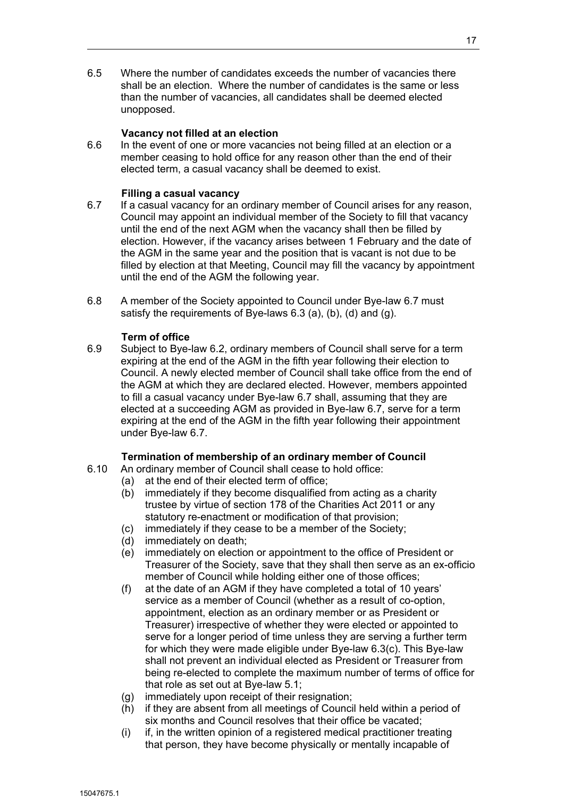6.5 Where the number of candidates exceeds the number of vacancies there shall be an election. Where the number of candidates is the same or less than the number of vacancies, all candidates shall be deemed elected unopposed.

### **Vacancy not filled at an election**

6.6 In the event of one or more vacancies not being filled at an election or a member ceasing to hold office for any reason other than the end of their elected term, a casual vacancy shall be deemed to exist.

### **Filling a casual vacancy**

- 6.7 If a casual vacancy for an ordinary member of Council arises for any reason, Council may appoint an individual member of the Society to fill that vacancy until the end of the next AGM when the vacancy shall then be filled by election. However, if the vacancy arises between 1 February and the date of the AGM in the same year and the position that is vacant is not due to be filled by election at that Meeting, Council may fill the vacancy by appointment until the end of the AGM the following year.
- 6.8 A member of the Society appointed to Council under Bye-law 6.7 must satisfy the requirements of Bye-laws 6.3 (a), (b), (d) and (g).

## **Term of office**

6.9 Subject to Bye-law 6.2, ordinary members of Council shall serve for a term expiring at the end of the AGM in the fifth year following their election to Council. A newly elected member of Council shall take office from the end of the AGM at which they are declared elected. However, members appointed to fill a casual vacancy under Bye-law 6.7 shall, assuming that they are elected at a succeeding AGM as provided in Bye-law 6.7, serve for a term expiring at the end of the AGM in the fifth year following their appointment under Bye-law 6.7.

#### **Termination of membership of an ordinary member of Council**

- 6.10 An ordinary member of Council shall cease to hold office:
	- (a) at the end of their elected term of office;
	- (b) immediately if they become disqualified from acting as a charity trustee by virtue of section 178 of the Charities Act 2011 or any statutory re-enactment or modification of that provision;
	- (c) immediately if they cease to be a member of the Society;
	- (d) immediately on death;
	- (e) immediately on election or appointment to the office of President or Treasurer of the Society, save that they shall then serve as an ex-officio member of Council while holding either one of those offices;
	- (f) at the date of an AGM if they have completed a total of 10 years' service as a member of Council (whether as a result of co-option, appointment, election as an ordinary member or as President or Treasurer) irrespective of whether they were elected or appointed to serve for a longer period of time unless they are serving a further term for which they were made eligible under Bye-law 6.3(c). This Bye-law shall not prevent an individual elected as President or Treasurer from being re-elected to complete the maximum number of terms of office for that role as set out at Bye-law 5.1;
	- (g) immediately upon receipt of their resignation;
	- (h) if they are absent from all meetings of Council held within a period of six months and Council resolves that their office be vacated;
	- (i) if, in the written opinion of a registered medical practitioner treating that person, they have become physically or mentally incapable of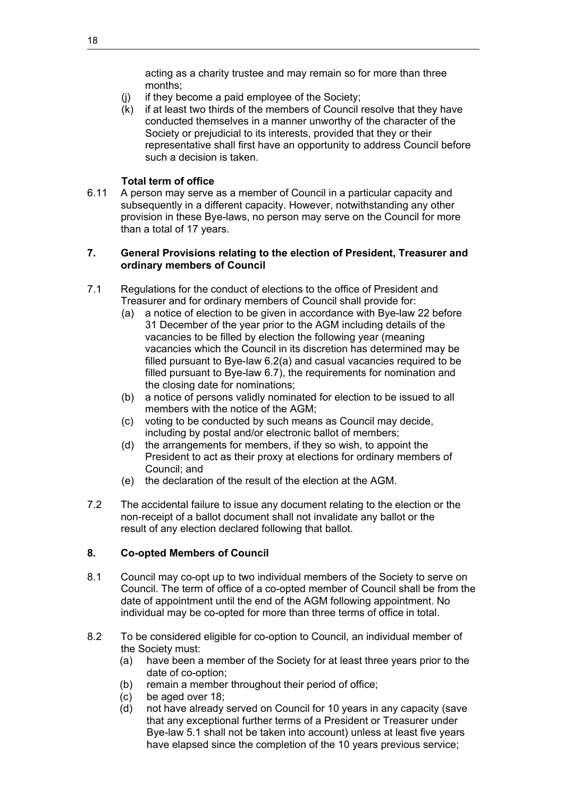acting as a charity trustee and may remain so for more than three months;

- (j) if they become a paid employee of the Society;
- (k) if at least two thirds of the members of Council resolve that they have conducted themselves in a manner unworthy of the character of the Society or prejudicial to its interests, provided that they or their representative shall first have an opportunity to address Council before such a decision is taken.

## **Total term of office**

6.11 A person may serve as a member of Council in a particular capacity and subsequently in a different capacity. However, notwithstanding any other provision in these Bye-laws, no person may serve on the Council for more than a total of 17 years.

## **7. General Provisions relating to the election of President, Treasurer and ordinary members of Council**

- 7.1 Regulations for the conduct of elections to the office of President and Treasurer and for ordinary members of Council shall provide for:
	- (a) a notice of election to be given in accordance with Bye-law 22 before 31 December of the year prior to the AGM including details of the vacancies to be filled by election the following year (meaning vacancies which the Council in its discretion has determined may be filled pursuant to Bye-law 6.2(a) and casual vacancies required to be filled pursuant to Bye-law 6.7), the requirements for nomination and the closing date for nominations;
	- (b) a notice of persons validly nominated for election to be issued to all members with the notice of the AGM;
	- (c) voting to be conducted by such means as Council may decide, including by postal and/or electronic ballot of members;
	- (d) the arrangements for members, if they so wish, to appoint the President to act as their proxy at elections for ordinary members of Council; and
	- (e) the declaration of the result of the election at the AGM.
- 7.2 The accidental failure to issue any document relating to the election or the non-receipt of a ballot document shall not invalidate any ballot or the result of any election declared following that ballot.

## **8. Co-opted Members of Council**

- 8.1 Council may co-opt up to two individual members of the Society to serve on Council. The term of office of a co-opted member of Council shall be from the date of appointment until the end of the AGM following appointment. No individual may be co-opted for more than three terms of office in total.
- 8.2 To be considered eligible for co-option to Council, an individual member of the Society must:
	- (a) have been a member of the Society for at least three years prior to the date of co-option;
	- (b) remain a member throughout their period of office;
	- (c) be aged over 18;
	- (d) not have already served on Council for 10 years in any capacity (save that any exceptional further terms of a President or Treasurer under Bye-law 5.1 shall not be taken into account) unless at least five years have elapsed since the completion of the 10 years previous service;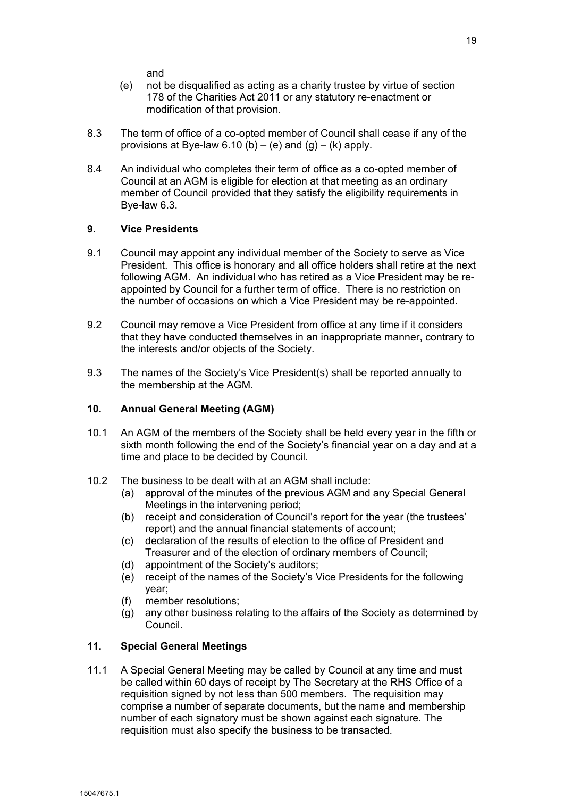and

- (e) not be disqualified as acting as a charity trustee by virtue of section 178 of the Charities Act 2011 or any statutory re-enactment or modification of that provision.
- 8.3 The term of office of a co-opted member of Council shall cease if any of the provisions at Bye-law  $6.10$  (b) – (e) and (g) – (k) apply.
- 8.4 An individual who completes their term of office as a co-opted member of Council at an AGM is eligible for election at that meeting as an ordinary member of Council provided that they satisfy the eligibility requirements in Bye-law 6.3.

## **9. Vice Presidents**

- 9.1 Council may appoint any individual member of the Society to serve as Vice President. This office is honorary and all office holders shall retire at the next following AGM. An individual who has retired as a Vice President may be reappointed by Council for a further term of office. There is no restriction on the number of occasions on which a Vice President may be re-appointed.
- 9.2 Council may remove a Vice President from office at any time if it considers that they have conducted themselves in an inappropriate manner, contrary to the interests and/or objects of the Society.
- 9.3 The names of the Society's Vice President(s) shall be reported annually to the membership at the AGM.

## **10. Annual General Meeting (AGM)**

- 10.1 An AGM of the members of the Society shall be held every year in the fifth or sixth month following the end of the Society's financial year on a day and at a time and place to be decided by Council.
- 10.2 The business to be dealt with at an AGM shall include:
	- (a) approval of the minutes of the previous AGM and any Special General Meetings in the intervening period;
	- (b) receipt and consideration of Council's report for the year (the trustees' report) and the annual financial statements of account;
	- (c) declaration of the results of election to the office of President and Treasurer and of the election of ordinary members of Council;
	- (d) appointment of the Society's auditors;
	- (e) receipt of the names of the Society's Vice Presidents for the following year;
	- (f) member resolutions;
	- (g) any other business relating to the affairs of the Society as determined by Council.

## **11. Special General Meetings**

11.1 A Special General Meeting may be called by Council at any time and must be called within 60 days of receipt by The Secretary at the RHS Office of a requisition signed by not less than 500 members. The requisition may comprise a number of separate documents, but the name and membership number of each signatory must be shown against each signature. The requisition must also specify the business to be transacted.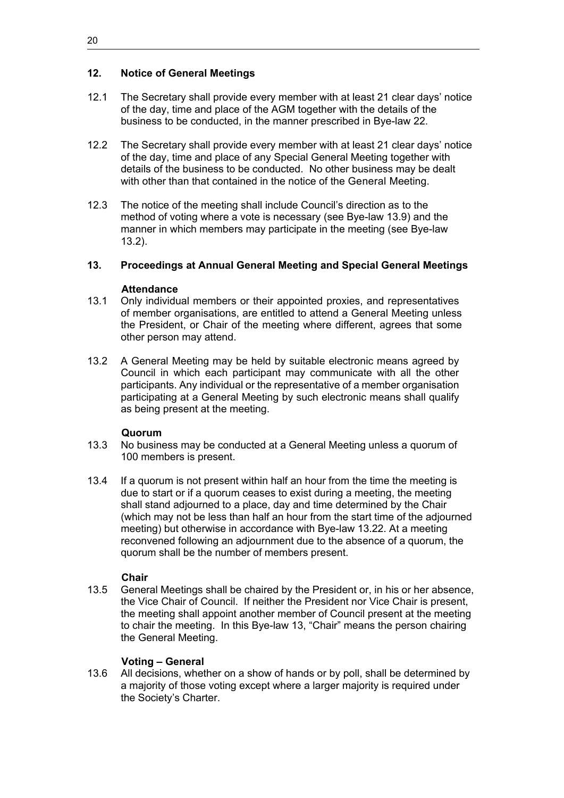## **12. Notice of General Meetings**

- 12.1 The Secretary shall provide every member with at least 21 clear days' notice of the day, time and place of the AGM together with the details of the business to be conducted, in the manner prescribed in Bye-law 22.
- 12.2 The Secretary shall provide every member with at least 21 clear days' notice of the day, time and place of any Special General Meeting together with details of the business to be conducted. No other business may be dealt with other than that contained in the notice of the General Meeting.
- 12.3 The notice of the meeting shall include Council's direction as to the method of voting where a vote is necessary (see Bye-law 13.9) and the manner in which members may participate in the meeting (see Bye-law 13.2).

## **13. Proceedings at Annual General Meeting and Special General Meetings**

## **Attendance**

- 13.1 Only individual members or their appointed proxies, and representatives of member organisations, are entitled to attend a General Meeting unless the President, or Chair of the meeting where different, agrees that some other person may attend.
- 13.2 A General Meeting may be held by suitable electronic means agreed by Council in which each participant may communicate with all the other participants. Any individual or the representative of a member organisation participating at a General Meeting by such electronic means shall qualify as being present at the meeting.

#### **Quorum**

- 13.3 No business may be conducted at a General Meeting unless a quorum of 100 members is present.
- 13.4 If a quorum is not present within half an hour from the time the meeting is due to start or if a quorum ceases to exist during a meeting, the meeting shall stand adjourned to a place, day and time determined by the Chair (which may not be less than half an hour from the start time of the adjourned meeting) but otherwise in accordance with Bye-law 13.22. At a meeting reconvened following an adjournment due to the absence of a quorum, the quorum shall be the number of members present.

## **Chair**

13.5 General Meetings shall be chaired by the President or, in his or her absence, the Vice Chair of Council. If neither the President nor Vice Chair is present, the meeting shall appoint another member of Council present at the meeting to chair the meeting. In this Bye-law 13, "Chair" means the person chairing the General Meeting.

## **Voting – General**

13.6 All decisions, whether on a show of hands or by poll, shall be determined by a majority of those voting except where a larger majority is required under the Society's Charter.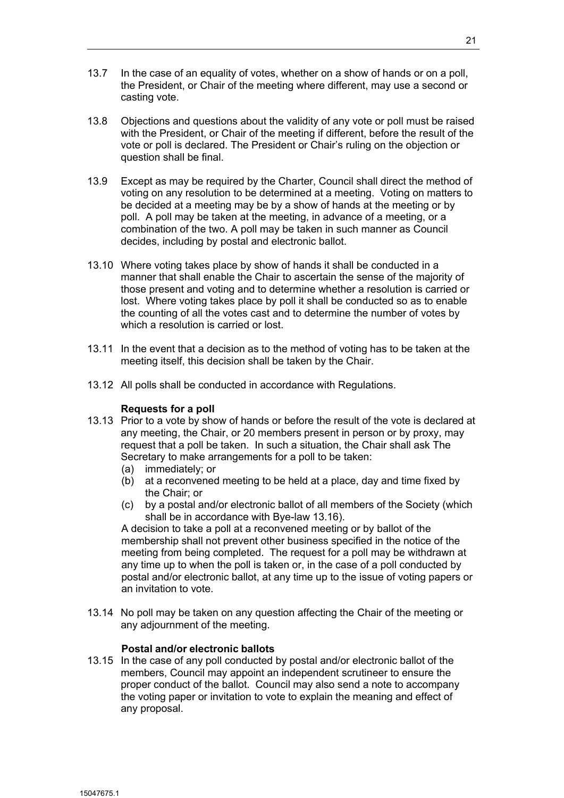- 13.7 In the case of an equality of votes, whether on a show of hands or on a poll, the President, or Chair of the meeting where different, may use a second or casting vote.
- 13.8 Objections and questions about the validity of any vote or poll must be raised with the President, or Chair of the meeting if different, before the result of the vote or poll is declared. The President or Chair's ruling on the objection or question shall be final.
- 13.9 Except as may be required by the Charter, Council shall direct the method of voting on any resolution to be determined at a meeting. Voting on matters to be decided at a meeting may be by a show of hands at the meeting or by poll. A poll may be taken at the meeting, in advance of a meeting, or a combination of the two. A poll may be taken in such manner as Council decides, including by postal and electronic ballot.
- 13.10 Where voting takes place by show of hands it shall be conducted in a manner that shall enable the Chair to ascertain the sense of the majority of those present and voting and to determine whether a resolution is carried or lost. Where voting takes place by poll it shall be conducted so as to enable the counting of all the votes cast and to determine the number of votes by which a resolution is carried or lost.
- 13.11 In the event that a decision as to the method of voting has to be taken at the meeting itself, this decision shall be taken by the Chair.
- 13.12 All polls shall be conducted in accordance with Regulations.

## **Requests for a poll**

- 13.13 Prior to a vote by show of hands or before the result of the vote is declared at any meeting, the Chair, or 20 members present in person or by proxy, may request that a poll be taken. In such a situation, the Chair shall ask The Secretary to make arrangements for a poll to be taken:
	- (a) immediately; or
	- (b) at a reconvened meeting to be held at a place, day and time fixed by the Chair; or
	- (c) by a postal and/or electronic ballot of all members of the Society (which shall be in accordance with Bye-law 13.16).

A decision to take a poll at a reconvened meeting or by ballot of the membership shall not prevent other business specified in the notice of the meeting from being completed. The request for a poll may be withdrawn at any time up to when the poll is taken or, in the case of a poll conducted by postal and/or electronic ballot, at any time up to the issue of voting papers or an invitation to vote.

13.14 No poll may be taken on any question affecting the Chair of the meeting or any adjournment of the meeting.

## **Postal and/or electronic ballots**

13.15 In the case of any poll conducted by postal and/or electronic ballot of the members, Council may appoint an independent scrutineer to ensure the proper conduct of the ballot. Council may also send a note to accompany the voting paper or invitation to vote to explain the meaning and effect of any proposal.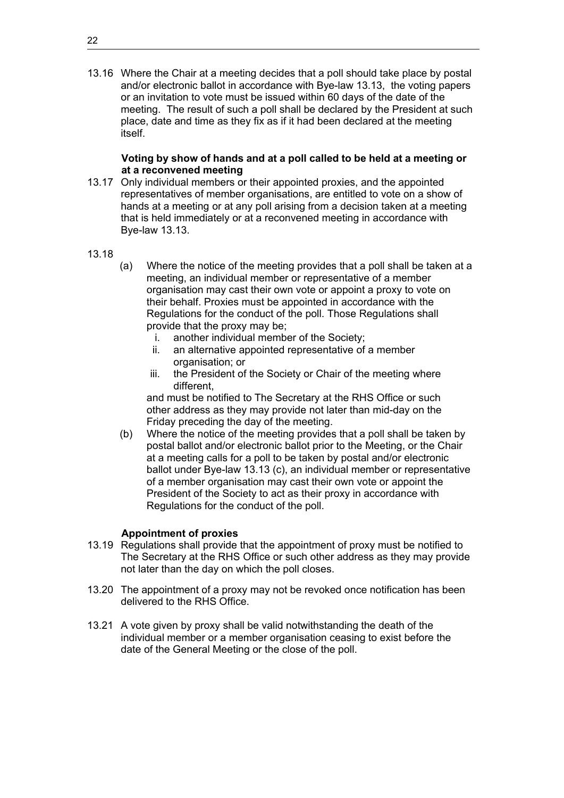13.16 Where the Chair at a meeting decides that a poll should take place by postal and/or electronic ballot in accordance with Bye-law 13.13, the voting papers or an invitation to vote must be issued within 60 days of the date of the meeting. The result of such a poll shall be declared by the President at such place, date and time as they fix as if it had been declared at the meeting itself.

## **Voting by show of hands and at a poll called to be held at a meeting or at a reconvened meeting**

- 13.17 Only individual members or their appointed proxies, and the appointed representatives of member organisations, are entitled to vote on a show of hands at a meeting or at any poll arising from a decision taken at a meeting that is held immediately or at a reconvened meeting in accordance with Bye-law 13.13.
- 13.18
- (a) Where the notice of the meeting provides that a poll shall be taken at a meeting, an individual member or representative of a member organisation may cast their own vote or appoint a proxy to vote on their behalf. Proxies must be appointed in accordance with the Regulations for the conduct of the poll. Those Regulations shall provide that the proxy may be;
	- i. another individual member of the Society;
	- ii. an alternative appointed representative of a member organisation; or
	- iii. the President of the Society or Chair of the meeting where different,

and must be notified to The Secretary at the RHS Office or such other address as they may provide not later than mid-day on the Friday preceding the day of the meeting.

(b) Where the notice of the meeting provides that a poll shall be taken by postal ballot and/or electronic ballot prior to the Meeting, or the Chair at a meeting calls for a poll to be taken by postal and/or electronic ballot under Bye-law 13.13 (c), an individual member or representative of a member organisation may cast their own vote or appoint the President of the Society to act as their proxy in accordance with Regulations for the conduct of the poll.

## **Appointment of proxies**

- 13.19 Regulations shall provide that the appointment of proxy must be notified to The Secretary at the RHS Office or such other address as they may provide not later than the day on which the poll closes.
- 13.20 The appointment of a proxy may not be revoked once notification has been delivered to the RHS Office.
- 13.21 A vote given by proxy shall be valid notwithstanding the death of the individual member or a member organisation ceasing to exist before the date of the General Meeting or the close of the poll.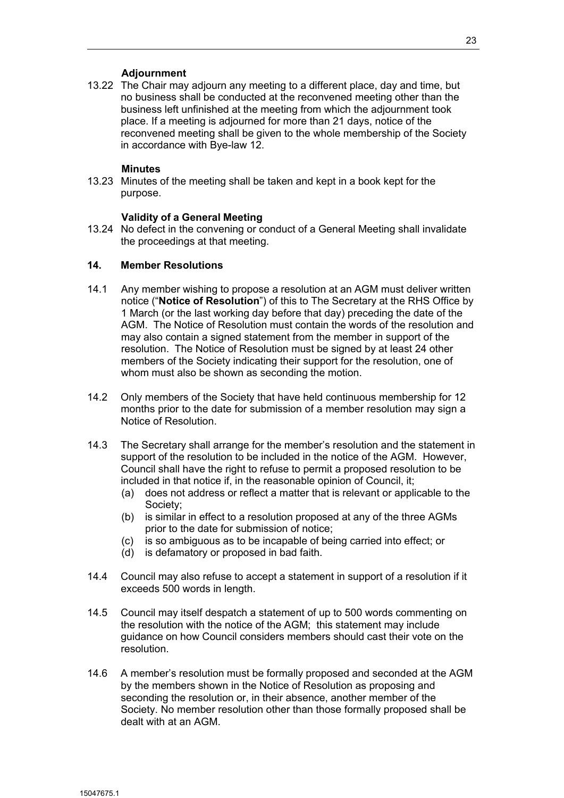## **Adjournment**

13.22 The Chair may adjourn any meeting to a different place, day and time, but no business shall be conducted at the reconvened meeting other than the business left unfinished at the meeting from which the adjournment took place. If a meeting is adjourned for more than 21 days, notice of the reconvened meeting shall be given to the whole membership of the Society in accordance with Bye-law 12.

#### **Minutes**

13.23 Minutes of the meeting shall be taken and kept in a book kept for the purpose.

#### **Validity of a General Meeting**

13.24 No defect in the convening or conduct of a General Meeting shall invalidate the proceedings at that meeting.

## **14. Member Resolutions**

- 14.1 Any member wishing to propose a resolution at an AGM must deliver written notice ("**Notice of Resolution**") of this to The Secretary at the RHS Office by 1 March (or the last working day before that day) preceding the date of the AGM. The Notice of Resolution must contain the words of the resolution and may also contain a signed statement from the member in support of the resolution. The Notice of Resolution must be signed by at least 24 other members of the Society indicating their support for the resolution, one of whom must also be shown as seconding the motion.
- 14.2 Only members of the Society that have held continuous membership for 12 months prior to the date for submission of a member resolution may sign a Notice of Resolution.
- 14.3 The Secretary shall arrange for the member's resolution and the statement in support of the resolution to be included in the notice of the AGM. However, Council shall have the right to refuse to permit a proposed resolution to be included in that notice if, in the reasonable opinion of Council, it;
	- (a) does not address or reflect a matter that is relevant or applicable to the Society;
	- (b) is similar in effect to a resolution proposed at any of the three AGMs prior to the date for submission of notice;
	- (c) is so ambiguous as to be incapable of being carried into effect; or
	- (d) is defamatory or proposed in bad faith.
- 14.4 Council may also refuse to accept a statement in support of a resolution if it exceeds 500 words in length.
- 14.5 Council may itself despatch a statement of up to 500 words commenting on the resolution with the notice of the AGM; this statement may include guidance on how Council considers members should cast their vote on the resolution.
- 14.6 A member's resolution must be formally proposed and seconded at the AGM by the members shown in the Notice of Resolution as proposing and seconding the resolution or, in their absence, another member of the Society. No member resolution other than those formally proposed shall be dealt with at an AGM.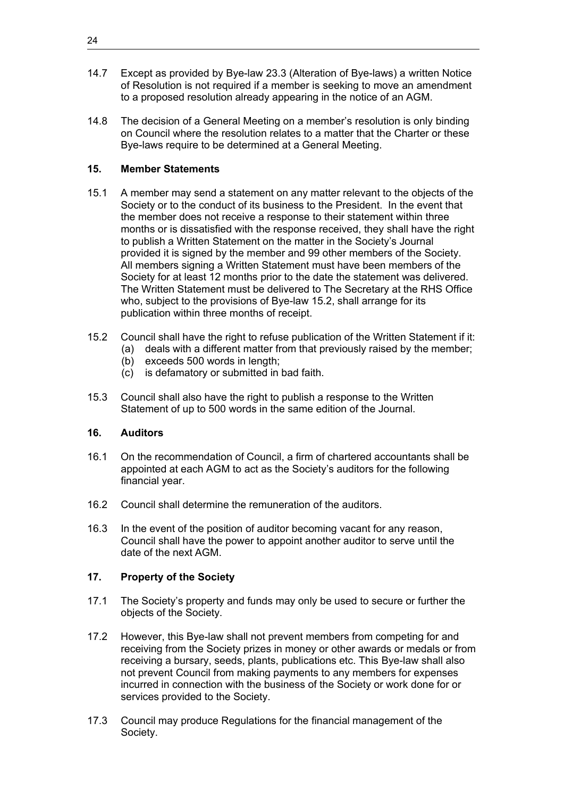- 14.7 Except as provided by Bye-law 23.3 (Alteration of Bye-laws) a written Notice of Resolution is not required if a member is seeking to move an amendment to a proposed resolution already appearing in the notice of an AGM.
- 14.8 The decision of a General Meeting on a member's resolution is only binding on Council where the resolution relates to a matter that the Charter or these Bye-laws require to be determined at a General Meeting.

## **15. Member Statements**

- 15.1 A member may send a statement on any matter relevant to the objects of the Society or to the conduct of its business to the President. In the event that the member does not receive a response to their statement within three months or is dissatisfied with the response received, they shall have the right to publish a Written Statement on the matter in the Society's Journal provided it is signed by the member and 99 other members of the Society. All members signing a Written Statement must have been members of the Society for at least 12 months prior to the date the statement was delivered. The Written Statement must be delivered to The Secretary at the RHS Office who, subject to the provisions of Bye-law 15.2, shall arrange for its publication within three months of receipt.
- 15.2 Council shall have the right to refuse publication of the Written Statement if it:
	- (a) deals with a different matter from that previously raised by the member;
		- (b) exceeds 500 words in length;
	- (c) is defamatory or submitted in bad faith.
- 15.3 Council shall also have the right to publish a response to the Written Statement of up to 500 words in the same edition of the Journal.

## **16. Auditors**

- 16.1 On the recommendation of Council, a firm of chartered accountants shall be appointed at each AGM to act as the Society's auditors for the following financial year.
- 16.2 Council shall determine the remuneration of the auditors.
- 16.3 In the event of the position of auditor becoming vacant for any reason, Council shall have the power to appoint another auditor to serve until the date of the next AGM.

## **17. Property of the Society**

- 17.1 The Society's property and funds may only be used to secure or further the objects of the Society.
- 17.2 However, this Bye-law shall not prevent members from competing for and receiving from the Society prizes in money or other awards or medals or from receiving a bursary, seeds, plants, publications etc. This Bye-law shall also not prevent Council from making payments to any members for expenses incurred in connection with the business of the Society or work done for or services provided to the Society.
- 17.3 Council may produce Regulations for the financial management of the Society.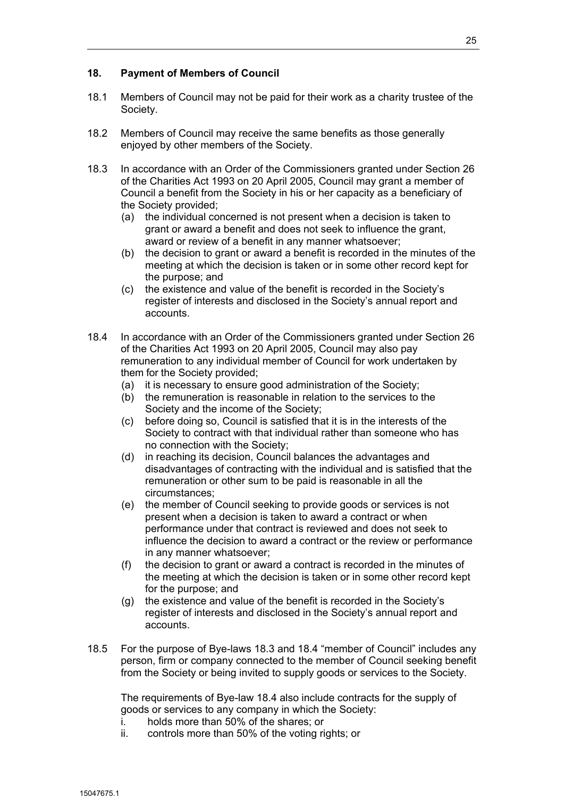- 18.1 Members of Council may not be paid for their work as a charity trustee of the Society.
- 18.2 Members of Council may receive the same benefits as those generally enjoyed by other members of the Society.
- 18.3 In accordance with an Order of the Commissioners granted under Section 26 of the Charities Act 1993 on 20 April 2005, Council may grant a member of Council a benefit from the Society in his or her capacity as a beneficiary of the Society provided;
	- (a) the individual concerned is not present when a decision is taken to grant or award a benefit and does not seek to influence the grant, award or review of a benefit in any manner whatsoever;
	- (b) the decision to grant or award a benefit is recorded in the minutes of the meeting at which the decision is taken or in some other record kept for the purpose; and
	- (c) the existence and value of the benefit is recorded in the Society's register of interests and disclosed in the Society's annual report and accounts.
- 18.4 In accordance with an Order of the Commissioners granted under Section 26 of the Charities Act 1993 on 20 April 2005, Council may also pay remuneration to any individual member of Council for work undertaken by them for the Society provided;
	- (a) it is necessary to ensure good administration of the Society;
	- (b) the remuneration is reasonable in relation to the services to the Society and the income of the Society;
	- (c) before doing so, Council is satisfied that it is in the interests of the Society to contract with that individual rather than someone who has no connection with the Society;
	- (d) in reaching its decision, Council balances the advantages and disadvantages of contracting with the individual and is satisfied that the remuneration or other sum to be paid is reasonable in all the circumstances;
	- (e) the member of Council seeking to provide goods or services is not present when a decision is taken to award a contract or when performance under that contract is reviewed and does not seek to influence the decision to award a contract or the review or performance in any manner whatsoever;
	- (f) the decision to grant or award a contract is recorded in the minutes of the meeting at which the decision is taken or in some other record kept for the purpose; and
	- (g) the existence and value of the benefit is recorded in the Society's register of interests and disclosed in the Society's annual report and accounts.
- 18.5 For the purpose of Bye-laws 18.3 and 18.4 "member of Council" includes any person, firm or company connected to the member of Council seeking benefit from the Society or being invited to supply goods or services to the Society.

The requirements of Bye-law 18.4 also include contracts for the supply of goods or services to any company in which the Society:

- i. holds more than 50% of the shares; or
- ii. controls more than 50% of the voting rights; or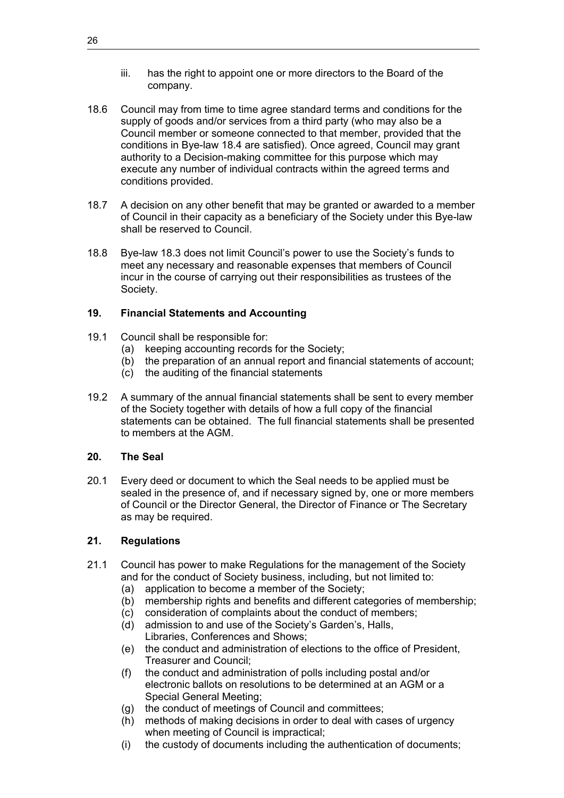- iii. has the right to appoint one or more directors to the Board of the company.
- 18.6 Council may from time to time agree standard terms and conditions for the supply of goods and/or services from a third party (who may also be a Council member or someone connected to that member, provided that the conditions in Bye-law 18.4 are satisfied). Once agreed, Council may grant authority to a Decision-making committee for this purpose which may execute any number of individual contracts within the agreed terms and conditions provided.
- 18.7 A decision on any other benefit that may be granted or awarded to a member of Council in their capacity as a beneficiary of the Society under this Bye-law shall be reserved to Council.
- 18.8 Bye-law 18.3 does not limit Council's power to use the Society's funds to meet any necessary and reasonable expenses that members of Council incur in the course of carrying out their responsibilities as trustees of the Society.

## **19. Financial Statements and Accounting**

- 19.1 Council shall be responsible for:
	- (a) keeping accounting records for the Society;
	- (b) the preparation of an annual report and financial statements of account;
	- (c) the auditing of the financial statements
- 19.2 A summary of the annual financial statements shall be sent to every member of the Society together with details of how a full copy of the financial statements can be obtained. The full financial statements shall be presented to members at the AGM.

## **20. The Seal**

20.1 Every deed or document to which the Seal needs to be applied must be sealed in the presence of, and if necessary signed by, one or more members of Council or the Director General, the Director of Finance or The Secretary as may be required.

## **21. Regulations**

- 21.1 Council has power to make Regulations for the management of the Society and for the conduct of Society business, including, but not limited to:
	- (a) application to become a member of the Society;
	- (b) membership rights and benefits and different categories of membership;
	- (c) consideration of complaints about the conduct of members;
	- (d) admission to and use of the Society's Garden's, Halls, Libraries, Conferences and Shows;
	- (e) the conduct and administration of elections to the office of President, Treasurer and Council;
	- (f) the conduct and administration of polls including postal and/or electronic ballots on resolutions to be determined at an AGM or a Special General Meeting;
	- (g) the conduct of meetings of Council and committees;
	- (h) methods of making decisions in order to deal with cases of urgency when meeting of Council is impractical;
	- (i) the custody of documents including the authentication of documents;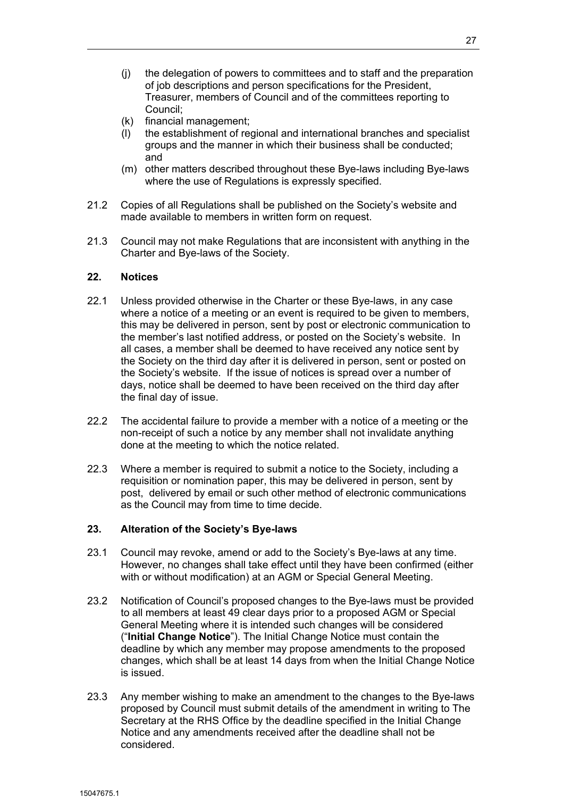- (j) the delegation of powers to committees and to staff and the preparation of job descriptions and person specifications for the President, Treasurer, members of Council and of the committees reporting to Council;
- (k) financial management;
- (l) the establishment of regional and international branches and specialist groups and the manner in which their business shall be conducted; and
- (m) other matters described throughout these Bye-laws including Bye-laws where the use of Regulations is expressly specified.
- 21.2 Copies of all Regulations shall be published on the Society's website and made available to members in written form on request.
- 21.3 Council may not make Regulations that are inconsistent with anything in the Charter and Bye-laws of the Society.

#### **22. Notices**

- 22.1 Unless provided otherwise in the Charter or these Bye-laws, in any case where a notice of a meeting or an event is required to be given to members, this may be delivered in person, sent by post or electronic communication to the member's last notified address, or posted on the Society's website. In all cases, a member shall be deemed to have received any notice sent by the Society on the third day after it is delivered in person, sent or posted on the Society's website. If the issue of notices is spread over a number of days, notice shall be deemed to have been received on the third day after the final day of issue.
- 22.2 The accidental failure to provide a member with a notice of a meeting or the non-receipt of such a notice by any member shall not invalidate anything done at the meeting to which the notice related.
- 22.3 Where a member is required to submit a notice to the Society, including a requisition or nomination paper, this may be delivered in person, sent by post, delivered by email or such other method of electronic communications as the Council may from time to time decide.

#### **23. Alteration of the Society's Bye-laws**

- 23.1 Council may revoke, amend or add to the Society's Bye-laws at any time. However, no changes shall take effect until they have been confirmed (either with or without modification) at an AGM or Special General Meeting.
- 23.2 Notification of Council's proposed changes to the Bye-laws must be provided to all members at least 49 clear days prior to a proposed AGM or Special General Meeting where it is intended such changes will be considered ("**Initial Change Notice**"). The Initial Change Notice must contain the deadline by which any member may propose amendments to the proposed changes, which shall be at least 14 days from when the Initial Change Notice is issued.
- 23.3 Any member wishing to make an amendment to the changes to the Bye-laws proposed by Council must submit details of the amendment in writing to The Secretary at the RHS Office by the deadline specified in the Initial Change Notice and any amendments received after the deadline shall not be considered.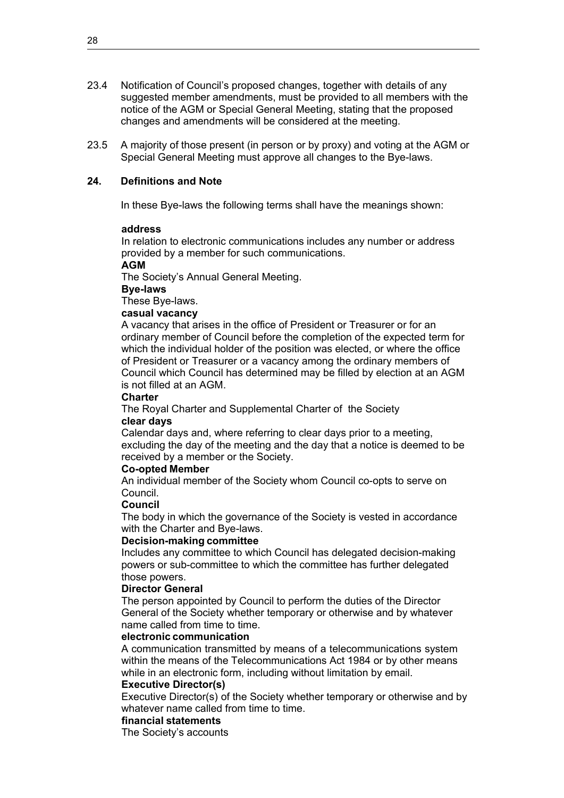- 23.4 Notification of Council's proposed changes, together with details of any suggested member amendments, must be provided to all members with the notice of the AGM or Special General Meeting, stating that the proposed changes and amendments will be considered at the meeting.
- 23.5 A majority of those present (in person or by proxy) and voting at the AGM or Special General Meeting must approve all changes to the Bye-laws.

## **24. Definitions and Note**

In these Bye-laws the following terms shall have the meanings shown:

#### **address**

In relation to electronic communications includes any number or address provided by a member for such communications.

#### **AGM**

The Society's Annual General Meeting.

#### **Bye-laws**

These Bye-laws.

#### **casual vacancy**

A vacancy that arises in the office of President or Treasurer or for an ordinary member of Council before the completion of the expected term for which the individual holder of the position was elected, or where the office of President or Treasurer or a vacancy among the ordinary members of Council which Council has determined may be filled by election at an AGM is not filled at an AGM.

#### **Charter**

The Royal Charter and Supplemental Charter of the Society **clear days**

Calendar days and, where referring to clear days prior to a meeting, excluding the day of the meeting and the day that a notice is deemed to be received by a member or the Society.

#### **Co-opted Member**

An individual member of the Society whom Council co-opts to serve on Council.

#### **Council**

The body in which the governance of the Society is vested in accordance with the Charter and Bye-laws.

#### **Decision-making committee**

Includes any committee to which Council has delegated decision-making powers or sub-committee to which the committee has further delegated those powers.

#### **Director General**

The person appointed by Council to perform the duties of the Director General of the Society whether temporary or otherwise and by whatever name called from time to time.

#### **electronic communication**

A communication transmitted by means of a telecommunications system within the means of the Telecommunications Act 1984 or by other means while in an electronic form, including without limitation by email.

### **Executive Director(s)**

Executive Director(s) of the Society whether temporary or otherwise and by whatever name called from time to time.

### **financial statements**

The Society's accounts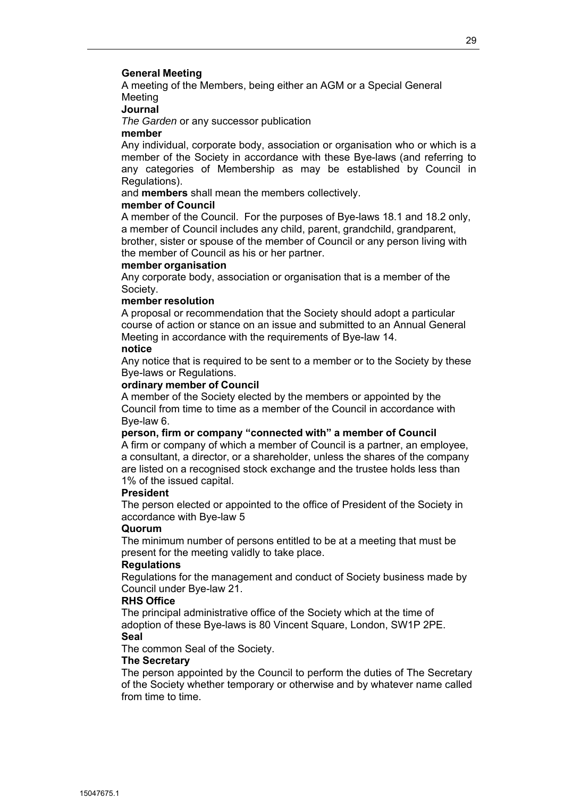#### **General Meeting**

A meeting of the Members, being either an AGM or a Special General Meeting

## **Journal**

*The Garden* or any successor publication

#### **member**

Any individual, corporate body, association or organisation who or which is a member of the Society in accordance with these Bye-laws (and referring to any categories of Membership as may be established by Council in Regulations).

and **members** shall mean the members collectively.

#### **member of Council**

A member of the Council. For the purposes of Bye-laws 18.1 and 18.2 only, a member of Council includes any child, parent, grandchild, grandparent, brother, sister or spouse of the member of Council or any person living with the member of Council as his or her partner.

#### **member organisation**

Any corporate body, association or organisation that is a member of the Society.

#### **member resolution**

A proposal or recommendation that the Society should adopt a particular course of action or stance on an issue and submitted to an Annual General Meeting in accordance with the requirements of Bye-law 14.

### **notice**

Any notice that is required to be sent to a member or to the Society by these Bye-laws or Regulations.

#### **ordinary member of Council**

A member of the Society elected by the members or appointed by the Council from time to time as a member of the Council in accordance with Bye-law 6.

## **person, firm or company "connected with" a member of Council**

A firm or company of which a member of Council is a partner, an employee, a consultant, a director, or a shareholder, unless the shares of the company are listed on a recognised stock exchange and the trustee holds less than 1% of the issued capital.

#### **President**

The person elected or appointed to the office of President of the Society in accordance with Bye-law 5

#### **Quorum**

The minimum number of persons entitled to be at a meeting that must be present for the meeting validly to take place.

#### **Regulations**

Regulations for the management and conduct of Society business made by Council under Bye-law 21.

#### **RHS Office**

The principal administrative office of the Society which at the time of adoption of these Bye-laws is 80 Vincent Square, London, SW1P 2PE. **Seal**

The common Seal of the Society.

#### **The Secretary**

The person appointed by the Council to perform the duties of The Secretary of the Society whether temporary or otherwise and by whatever name called from time to time.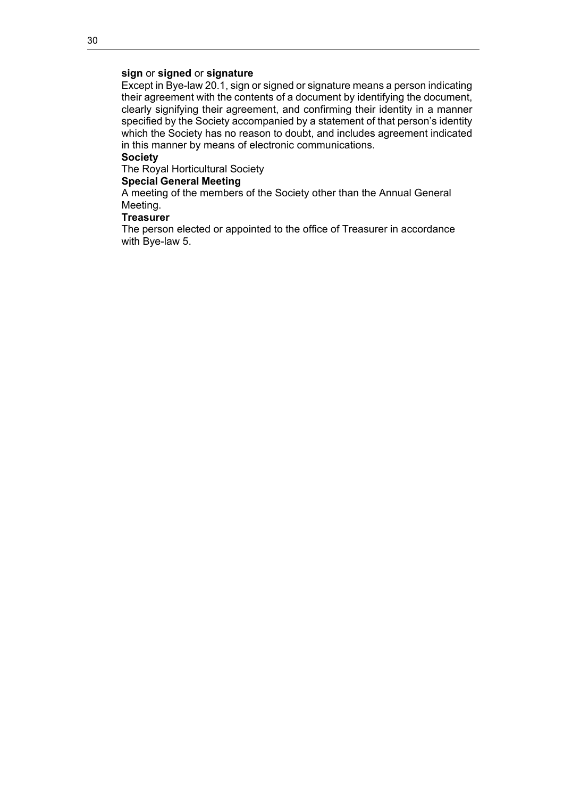## **sign** or **signed** or **signature**

Except in Bye-law 20.1, sign or signed or signature means a person indicating their agreement with the contents of a document by identifying the document, clearly signifying their agreement, and confirming their identity in a manner specified by the Society accompanied by a statement of that person's identity which the Society has no reason to doubt, and includes agreement indicated in this manner by means of electronic communications.

## **Society**

The Royal Horticultural Society

#### **Special General Meeting**

A meeting of the members of the Society other than the Annual General Meeting.

## **Treasurer**

The person elected or appointed to the office of Treasurer in accordance with Bye-law 5.